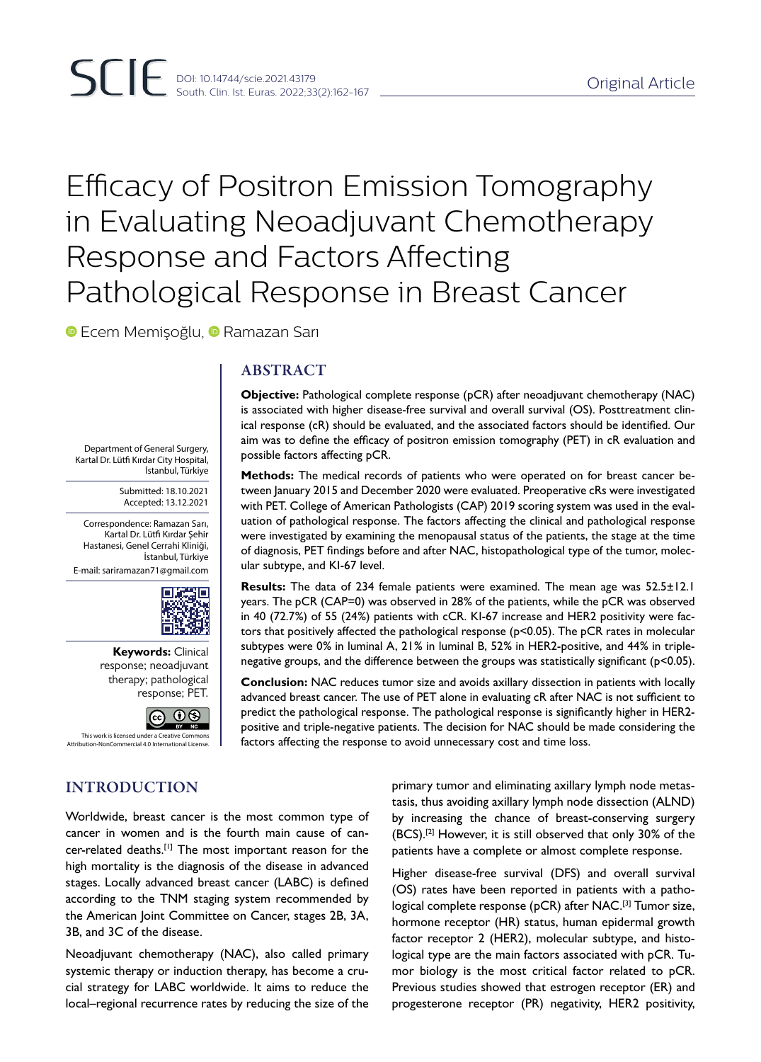# Efficacy of Positron Emission Tomography in Evaluating Neoadjuvant Chemotherapy Response and Factors Affecting Pathological Response in Breast Cancer

**•Ecem Memisoğlu, • Ramazan Sarı** 

Department of General Surgery, Kartal Dr. Lütfi Kırdar City Hospital,

Correspondence: Ramazan Sarı, Kartal Dr. Lütfi Kırdar Şehir Hastanesi, Genel Cerrahi Kliniği,

E-mail: sariramazan71@gmail.com

İstanbul, Türkiye

Submitted: 18.10.2021 Accepted: 13.12.2021

İstanbul, Türkiye

ЭO

**Keywords:** Clinical response; neoadjuvant therapy; pathological response; PET.

П

**@** 0

## ABSTRACT

**Objective:** Pathological complete response (pCR) after neoadjuvant chemotherapy (NAC) is associated with higher disease-free survival and overall survival (OS). Posttreatment clinical response (cR) should be evaluated, and the associated factors should be identified. Our aim was to define the efficacy of positron emission tomography (PET) in cR evaluation and possible factors affecting pCR.

**Methods:** The medical records of patients who were operated on for breast cancer between January 2015 and December 2020 were evaluated. Preoperative cRs were investigated with PET. College of American Pathologists (CAP) 2019 scoring system was used in the evaluation of pathological response. The factors affecting the clinical and pathological response were investigated by examining the menopausal status of the patients, the stage at the time of diagnosis, PET findings before and after NAC, histopathological type of the tumor, molecular subtype, and KI-67 level.

**Results:** The data of 234 female patients were examined. The mean age was 52.5±12.1 years. The pCR (CAP=0) was observed in 28% of the patients, while the pCR was observed in 40 (72.7%) of 55 (24%) patients with cCR. KI-67 increase and HER2 positivity were factors that positively affected the pathological response (p<0.05). The pCR rates in molecular subtypes were 0% in luminal A, 21% in luminal B, 52% in HER2-positive, and 44% in triplenegative groups, and the difference between the groups was statistically significant (p<0.05).

**Conclusion:** NAC reduces tumor size and avoids axillary dissection in patients with locally advanced breast cancer. The use of PET alone in evaluating cR after NAC is not sufficient to predict the pathological response. The pathological response is significantly higher in HER2 positive and triple-negative patients. The decision for NAC should be made considering the factors affecting the response to avoid unnecessary cost and time loss.

INTRODUCTION

Attribution-NonCommercial 4.0 Intern

This work is licensed under a Creative Commons

Worldwide, breast cancer is the most common type of cancer in women and is the fourth main cause of cancer-related deaths.[1] The most important reason for the high mortality is the diagnosis of the disease in advanced stages. Locally advanced breast cancer (LABC) is defined according to the TNM staging system recommended by the American Joint Committee on Cancer, stages 2B, 3A, 3B, and 3C of the disease.

Neoadjuvant chemotherapy (NAC), also called primary systemic therapy or induction therapy, has become a crucial strategy for LABC worldwide. It aims to reduce the local–regional recurrence rates by reducing the size of the

primary tumor and eliminating axillary lymph node metastasis, thus avoiding axillary lymph node dissection (ALND) by increasing the chance of breast-conserving surgery (BCS).[2] However, it is still observed that only 30% of the patients have a complete or almost complete response.

Higher disease-free survival (DFS) and overall survival (OS) rates have been reported in patients with a pathological complete response (pCR) after NAC.<sup>[3]</sup> Tumor size, hormone receptor (HR) status, human epidermal growth factor receptor 2 (HER2), molecular subtype, and histological type are the main factors associated with pCR. Tumor biology is the most critical factor related to pCR. Previous studies showed that estrogen receptor (ER) and progesterone receptor (PR) negativity, HER2 positivity,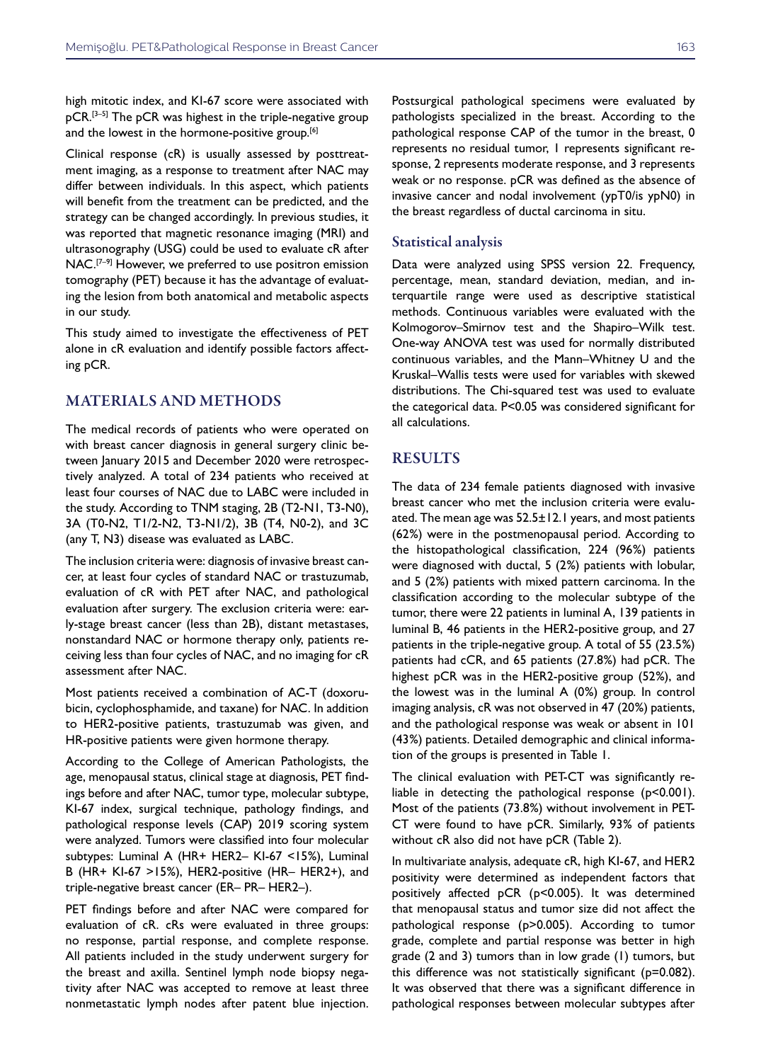high mitotic index, and KI-67 score were associated with pCR.<sup>[3-5]</sup> The pCR was highest in the triple-negative group and the lowest in the hormone-positive group.<sup>[6]</sup>

Clinical response (cR) is usually assessed by posttreatment imaging, as a response to treatment after NAC may differ between individuals. In this aspect, which patients will benefit from the treatment can be predicted, and the strategy can be changed accordingly. In previous studies, it was reported that magnetic resonance imaging (MRI) and ultrasonography (USG) could be used to evaluate cR after NAC.<sup>[7-9]</sup> However, we preferred to use positron emission tomography (PET) because it has the advantage of evaluating the lesion from both anatomical and metabolic aspects in our study.

This study aimed to investigate the effectiveness of PET alone in cR evaluation and identify possible factors affecting pCR.

## MATERIALS AND METHODS

The medical records of patients who were operated on with breast cancer diagnosis in general surgery clinic between January 2015 and December 2020 were retrospectively analyzed. A total of 234 patients who received at least four courses of NAC due to LABC were included in the study. According to TNM staging, 2B (T2-N1, T3-N0), 3A (T0-N2, T1/2-N2, T3-N1/2), 3B (T4, N0-2), and 3C (any T, N3) disease was evaluated as LABC.

The inclusion criteria were: diagnosis of invasive breast cancer, at least four cycles of standard NAC or trastuzumab, evaluation of cR with PET after NAC, and pathological evaluation after surgery. The exclusion criteria were: early-stage breast cancer (less than 2B), distant metastases, nonstandard NAC or hormone therapy only, patients receiving less than four cycles of NAC, and no imaging for cR assessment after NAC.

Most patients received a combination of AC-T (doxorubicin, cyclophosphamide, and taxane) for NAC. In addition to HER2-positive patients, trastuzumab was given, and HR-positive patients were given hormone therapy.

According to the College of American Pathologists, the age, menopausal status, clinical stage at diagnosis, PET findings before and after NAC, tumor type, molecular subtype, KI-67 index, surgical technique, pathology findings, and pathological response levels (CAP) 2019 scoring system were analyzed. Tumors were classified into four molecular subtypes: Luminal A (HR+ HER2– KI-67 <15%), Luminal B (HR+ KI-67 >15%), HER2-positive (HR– HER2+), and triple-negative breast cancer (ER– PR– HER2–).

PET findings before and after NAC were compared for evaluation of cR. cRs were evaluated in three groups: no response, partial response, and complete response. All patients included in the study underwent surgery for the breast and axilla. Sentinel lymph node biopsy negativity after NAC was accepted to remove at least three nonmetastatic lymph nodes after patent blue injection.

Postsurgical pathological specimens were evaluated by pathologists specialized in the breast. According to the pathological response CAP of the tumor in the breast, 0 represents no residual tumor, 1 represents significant response, 2 represents moderate response, and 3 represents weak or no response. pCR was defined as the absence of invasive cancer and nodal involvement (ypT0/is ypN0) in the breast regardless of ductal carcinoma in situ.

#### Statistical analysis

Data were analyzed using SPSS version 22. Frequency, percentage, mean, standard deviation, median, and interquartile range were used as descriptive statistical methods. Continuous variables were evaluated with the Kolmogorov–Smirnov test and the Shapiro–Wilk test. One-way ANOVA test was used for normally distributed continuous variables, and the Mann–Whitney U and the Kruskal–Wallis tests were used for variables with skewed distributions. The Chi-squared test was used to evaluate the categorical data. P<0.05 was considered significant for all calculations.

### RESULTS

The data of 234 female patients diagnosed with invasive breast cancer who met the inclusion criteria were evaluated. The mean age was  $52.5 \pm 12.1$  years, and most patients (62%) were in the postmenopausal period. According to the histopathological classification, 224 (96%) patients were diagnosed with ductal, 5 (2%) patients with lobular, and 5 (2%) patients with mixed pattern carcinoma. In the classification according to the molecular subtype of the tumor, there were 22 patients in luminal A, 139 patients in luminal B, 46 patients in the HER2-positive group, and 27 patients in the triple-negative group. A total of 55 (23.5%) patients had cCR, and 65 patients (27.8%) had pCR. The highest pCR was in the HER2-positive group (52%), and the lowest was in the luminal A (0%) group. In control imaging analysis, cR was not observed in 47 (20%) patients, and the pathological response was weak or absent in 101 (43%) patients. Detailed demographic and clinical information of the groups is presented in Table 1.

The clinical evaluation with PET-CT was significantly reliable in detecting the pathological response (p<0.001). Most of the patients (73.8%) without involvement in PET-CT were found to have pCR. Similarly, 93% of patients without cR also did not have pCR (Table 2).

In multivariate analysis, adequate cR, high KI-67, and HER2 positivity were determined as independent factors that positively affected pCR (p<0.005). It was determined that menopausal status and tumor size did not affect the pathological response (p>0.005). According to tumor grade, complete and partial response was better in high grade (2 and 3) tumors than in low grade (1) tumors, but this difference was not statistically significant (p=0.082). It was observed that there was a significant difference in pathological responses between molecular subtypes after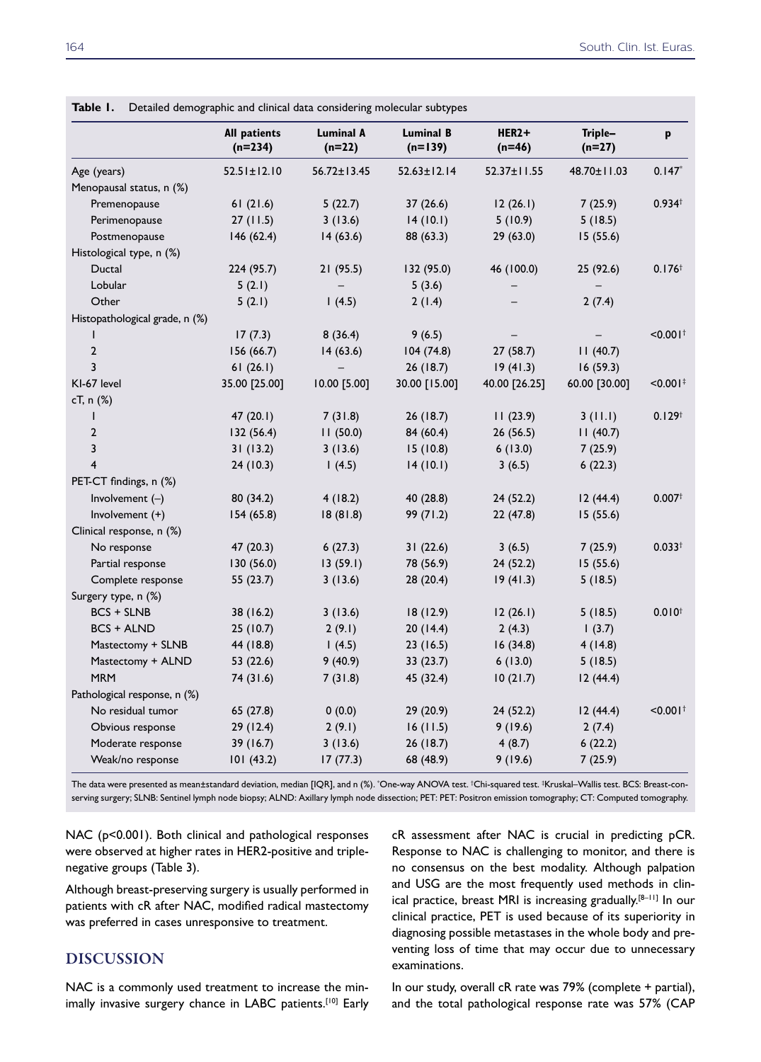|                                | <b>All patients</b><br>$(n=234)$ | <b>Luminal A</b><br>(n=22) | <b>Luminal B</b><br>$(n=139)$ | HER2+<br>$(n=46)$ | Triple-<br>$(n=27)$ | p                      |
|--------------------------------|----------------------------------|----------------------------|-------------------------------|-------------------|---------------------|------------------------|
| Age (years)                    | $52.51 \pm 12.10$                | $56.72 \pm 13.45$          | $52.63 \pm 12.14$             | 52.37±11.55       | 48.70±11.03         | $0.147*$               |
| Menopausal status, n (%)       |                                  |                            |                               |                   |                     |                        |
| Premenopause                   | 61(21.6)                         | 5(22.7)                    | 37(26.6)                      | 12(26.1)          | 7(25.9)             | 0.934 <sup>†</sup>     |
| Perimenopause                  | 27(11.5)                         | 3(13.6)                    | 14(10.1)                      | 5(10.9)           | 5(18.5)             |                        |
| Postmenopause                  | 146(62.4)                        | 14(63.6)                   | 88 (63.3)                     | 29(63.0)          | 15(55.6)            |                        |
| Histological type, n (%)       |                                  |                            |                               |                   |                     |                        |
| Ductal                         | 224 (95.7)                       | 21 (95.5)                  | 132 (95.0)                    | 46 (100.0)        | 25 (92.6)           | 0.176 <sup>†</sup>     |
| Lobular                        | 5(2.1)                           |                            | 5(3.6)                        |                   |                     |                        |
| Other                          | 5(2.1)                           | 1(4.5)                     | 2(1.4)                        |                   | 2(7.4)              |                        |
| Histopathological grade, n (%) |                                  |                            |                               |                   |                     |                        |
| T                              | 17(7.3)                          | 8(36.4)                    | 9(6.5)                        |                   |                     | $< 0.001$ <sup>†</sup> |
| $\overline{2}$                 | 156 (66.7)                       | 14(63.6)                   | 104(74.8)                     | 27(58.7)          | 11(40.7)            |                        |
| 3                              | 61(26.1)                         |                            | 26 (18.7)                     | 19(41.3)          | 16(59.3)            |                        |
| KI-67 level                    | 35.00 [25.00]                    | 10.00 [5.00]               | 30.00 [15.00]                 | 40.00 [26.25]     | 60.00 [30.00]       | $< 0.001$ <sup>#</sup> |
| cT, n (%)                      |                                  |                            |                               |                   |                     |                        |
| ı                              | 47(20.1)                         | 7(31.8)                    | 26(18.7)                      | 11(23.9)          | 3(11.1)             | $0.129^{+}$            |
| $\overline{2}$                 | 132 (56.4)                       | 11(50.0)                   | 84 (60.4)                     | 26(56.5)          | 11(40.7)            |                        |
| 3                              | 31(13.2)                         | 3(13.6)                    | 15(10.8)                      | 6(13.0)           | 7(25.9)             |                        |
| $\overline{4}$                 | 24 (10.3)                        | 1(4.5)                     | 14(10.1)                      | 3(6.5)            | 6(22.3)             |                        |
| PET-CT findings, n (%)         |                                  |                            |                               |                   |                     |                        |
| Involvement $(-)$              | 80 (34.2)                        | 4(18.2)                    | 40 (28.8)                     | 24(52.2)          | 12(44.4)            | $0.007$ <sup>†</sup>   |
| Involvement $(+)$              | 154 (65.8)                       | 18(81.8)                   | 99 (71.2)                     | 22(47.8)          | 15(55.6)            |                        |
| Clinical response, n (%)       |                                  |                            |                               |                   |                     |                        |
| No response                    | 47 (20.3)                        | 6(27.3)                    | 31(22.6)                      | 3(6.5)            | 7(25.9)             | $0.033^{+}$            |
| Partial response               | 130 (56.0)                       | 13(59.1)                   | 78 (56.9)                     | 24(52.2)          | 15(55.6)            |                        |
| Complete response              | 55 (23.7)                        | 3(13.6)                    | 28 (20.4)                     | 19(41.3)          | 5(18.5)             |                        |
| Surgery type, n (%)            |                                  |                            |                               |                   |                     |                        |
| <b>BCS + SLNB</b>              | 38 (16.2)                        | 3(13.6)                    | 18(12.9)                      | 12(26.1)          | 5(18.5)             | $0.010^{+}$            |
| <b>BCS + ALND</b>              | 25(10.7)                         | 2(9.1)                     | 20(14.4)                      | 2(4.3)            | 1(3.7)              |                        |
| Mastectomy + SLNB              | 44 (18.8)                        | (4.5)                      | 23(16.5)                      | 16(34.8)          | 4(14.8)             |                        |
| Mastectomy + ALND              | 53 (22.6)                        | 9(40.9)                    | 33(23.7)                      | 6(13.0)           | 5(18.5)             |                        |
| <b>MRM</b>                     | 74 (31.6)                        | 7(31.8)                    | 45 (32.4)                     | 10(21.7)          | 12(44.4)            |                        |
| Pathological response, n (%)   |                                  |                            |                               |                   |                     |                        |
| No residual tumor              | 65 (27.8)                        | 0(0.0)                     | 29(20.9)                      | 24(52.2)          | 12(44.4)            | $< 0.001$ <sup>+</sup> |
| Obvious response               | 29 (12.4)                        | 2(9.1)                     | 16(11.5)                      | 9(19.6)           | 2(7.4)              |                        |
| Moderate response              | 39 (16.7)                        | 3(13.6)                    | 26 (18.7)                     | 4(8.7)            | 6(22.2)             |                        |
| Weak/no response               | 101(43.2)                        | 17 (77.3)                  | 68 (48.9)                     | 9(19.6)           | 7(25.9)             |                        |

The data were presented as mean±standard deviation, median [IQR], and n (%). \* One-way ANOVA test. † Chi-squared test. ‡ Kruskal–Wallis test. BCS: Breast-conserving surgery; SLNB: Sentinel lymph node biopsy; ALND: Axillary lymph node dissection; PET: PET: Positron emission tomography; CT: Computed tomography.

NAC (p<0.001). Both clinical and pathological responses were observed at higher rates in HER2-positive and triplenegative groups (Table 3).

Although breast-preserving surgery is usually performed in patients with cR after NAC, modified radical mastectomy was preferred in cases unresponsive to treatment.

## DISCUSSION

NAC is a commonly used treatment to increase the minimally invasive surgery chance in LABC patients.[10] Early

cR assessment after NAC is crucial in predicting pCR. Response to NAC is challenging to monitor, and there is no consensus on the best modality. Although palpation and USG are the most frequently used methods in clinical practice, breast MRI is increasing gradually.[8–11] In our clinical practice, PET is used because of its superiority in diagnosing possible metastases in the whole body and preventing loss of time that may occur due to unnecessary examinations.

In our study, overall cR rate was 79% (complete + partial), and the total pathological response rate was 57% (CAP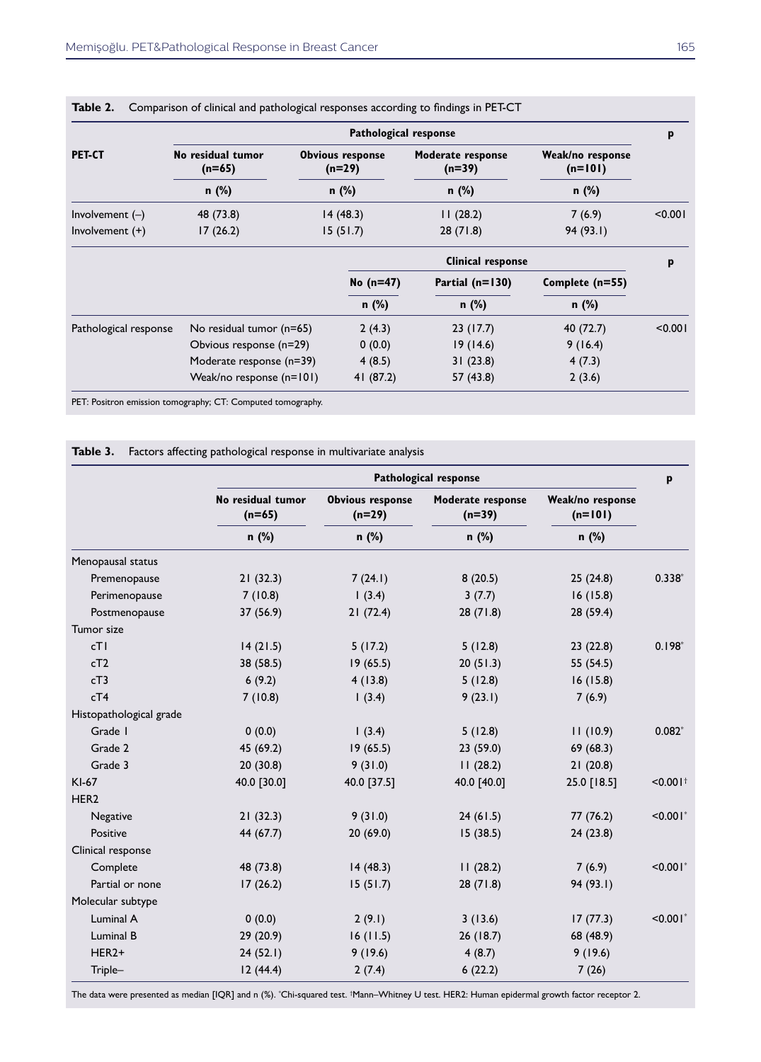|                   | Pathological response         |                                     |                               |                               |         |  |  |
|-------------------|-------------------------------|-------------------------------------|-------------------------------|-------------------------------|---------|--|--|
| <b>PET-CT</b>     | No residual tumor<br>$(n=65)$ | <b>Obvious response</b><br>$(n=29)$ | Moderate response<br>$(n=39)$ | Weak/no response<br>$(n=101)$ |         |  |  |
|                   | $n$ (%)                       | $n$ (%)                             | $n$ (%)                       | $n$ (%)                       |         |  |  |
| Involvement $(-)$ | 48 (73.8)                     | 14(48.3)                            | 11(28.2)                      | 7(6.9)                        | < 0.001 |  |  |
| Involvement $(+)$ | 17(26.2)                      | 15(51.7)                            | 28(71.8)                      | 94(93.1)                      |         |  |  |

|                       |                          | <b>Clinical response</b> |                   |                 | p       |
|-----------------------|--------------------------|--------------------------|-------------------|-----------------|---------|
|                       |                          | No $(n=47)$              | Partial $(n=130)$ | Complete (n=55) |         |
|                       |                          | $n$ (%)                  | $n$ (%)           | $n$ (%)         |         |
| Pathological response | No residual tumor (n=65) | 2(4.3)                   | 23(17.7)          | 40 (72.7)       | < 0.001 |
|                       | Obvious response (n=29)  | 0(0.0)                   | 19(14.6)          | 9(16.4)         |         |
|                       | Moderate response (n=39) | 4(8.5)                   | 31(23.8)          | 4(7.3)          |         |
|                       | Weak/no response (n=101) | 41 (87.2)                | 57 (43.8)         | 2(3.6)          |         |

PET: Positron emission tomography; CT: Computed tomography.

| Factors affecting pathological response in multivariate analysis | Table 3. |  |  |  |  |  |  |
|------------------------------------------------------------------|----------|--|--|--|--|--|--|
|------------------------------------------------------------------|----------|--|--|--|--|--|--|

|                         | <b>Pathological response</b>             |                                              |                                        |                                        |                        |  |
|-------------------------|------------------------------------------|----------------------------------------------|----------------------------------------|----------------------------------------|------------------------|--|
|                         | No residual tumor<br>$(n=65)$<br>$n$ (%) | <b>Obvious response</b><br>$(n=29)$<br>n (%) | Moderate response<br>$(n=39)$<br>n (%) | Weak/no response<br>$(n=101)$<br>n (%) |                        |  |
|                         |                                          |                                              |                                        |                                        |                        |  |
| Menopausal status       |                                          |                                              |                                        |                                        |                        |  |
| Premenopause            | 21(32.3)                                 | 7(24.1)                                      | 8(20.5)                                | 25(24.8)                               | $0.338*$               |  |
| Perimenopause           | 7(10.8)                                  | 1(3.4)                                       | 3(7.7)                                 | 16(15.8)                               |                        |  |
| Postmenopause           | 37 (56.9)                                | 21(72.4)                                     | 28(71.8)                               | 28(59.4)                               |                        |  |
| Tumor size              |                                          |                                              |                                        |                                        |                        |  |
| cT1                     | 14(21.5)                                 | 5(17.2)                                      | 5(12.8)                                | 23(22.8)                               | $0.198*$               |  |
| cT2                     | 38 (58.5)                                | 19(65.5)                                     | 20(51.3)                               | 55(54.5)                               |                        |  |
| cT3                     | 6(9.2)                                   | 4(13.8)                                      | 5(12.8)                                | 16(15.8)                               |                        |  |
| cT4                     | 7(10.8)                                  | 1(3.4)                                       | 9(23.1)                                | 7(6.9)                                 |                        |  |
| Histopathological grade |                                          |                                              |                                        |                                        |                        |  |
| Grade I                 | 0(0.0)                                   | 1(3.4)                                       | 5(12.8)                                | 11(10.9)                               | $0.082*$               |  |
| Grade 2                 | 45 (69.2)                                | 19(65.5)                                     | 23 (59.0)                              | 69 (68.3)                              |                        |  |
| Grade 3                 | 20(30.8)                                 | 9(31.0)                                      | 11(28.2)                               | 21(20.8)                               |                        |  |
| KI-67                   | 40.0 [30.0]                              | 40.0 [37.5]                                  | 40.0 [40.0]                            | 25.0 [18.5]                            | $< 0.001$ <sup>t</sup> |  |
| HER <sub>2</sub>        |                                          |                                              |                                        |                                        |                        |  |
| Negative                | 21(32.3)                                 | 9(31.0)                                      | 24(61.5)                               | 77 (76.2)                              | $< 0.001$ <sup>*</sup> |  |
| Positive                | 44 (67.7)                                | 20(69.0)                                     | 15(38.5)                               | 24(23.8)                               |                        |  |
| Clinical response       |                                          |                                              |                                        |                                        |                        |  |
| Complete                | 48 (73.8)                                | 14(48.3)                                     | 11(28.2)                               | 7(6.9)                                 | $< 0.001$ *            |  |
| Partial or none         | 17(26.2)                                 | 15(51.7)                                     | 28(71.8)                               | 94 (93.1)                              |                        |  |
| Molecular subtype       |                                          |                                              |                                        |                                        |                        |  |
| Luminal A               | 0(0.0)                                   | 2(9.1)                                       | 3(13.6)                                | 17(77.3)                               | $< 0.001$ *            |  |
| Luminal B               | 29 (20.9)                                | 16(11.5)                                     | 26(18.7)                               | 68 (48.9)                              |                        |  |
| HER <sub>2+</sub>       | 24(52.1)                                 | 9(19.6)                                      | 4(8.7)                                 | 9(19.6)                                |                        |  |
| Triple-                 | 12(44.4)                                 | 2(7.4)                                       | 6(22.2)                                | 7(26)                                  |                        |  |

The data were presented as median [IQR] and n (%). \*Chi-squared test. †Mann–Whitney U test. HER2: Human epidermal growth factor receptor 2.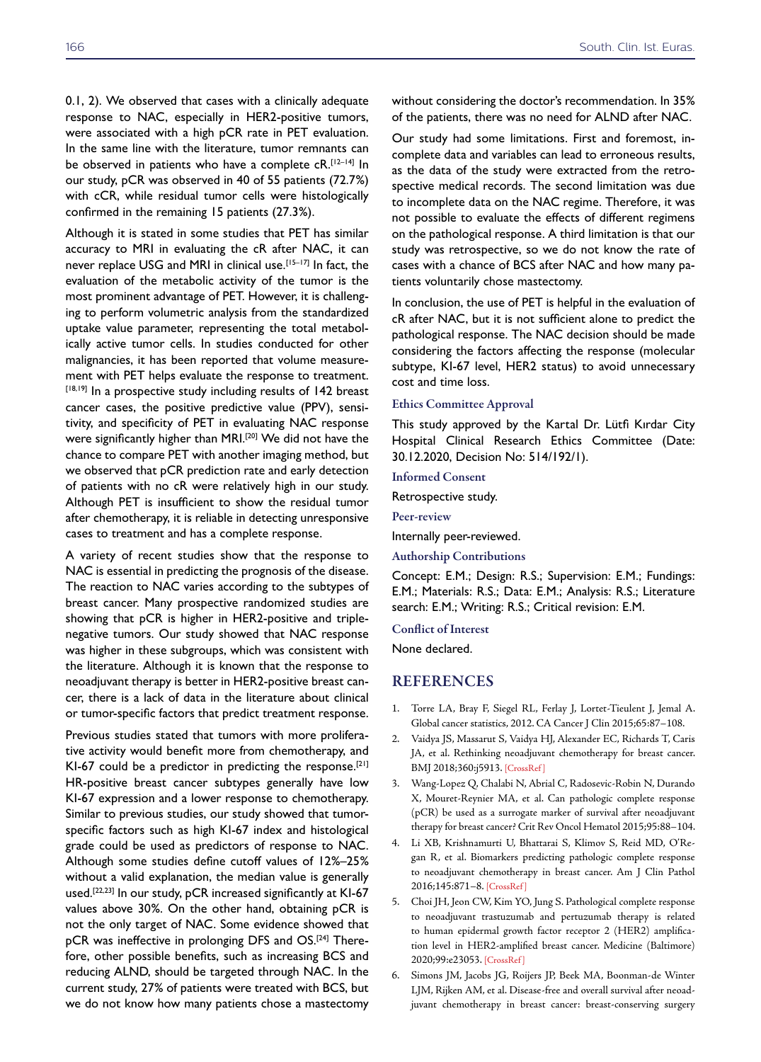0.1, 2). We observed that cases with a clinically adequate response to NAC, especially in HER2-positive tumors, were associated with a high pCR rate in PET evaluation. In the same line with the literature, tumor remnants can be observed in patients who have a complete cR.<sup>[12-14]</sup> In our study, pCR was observed in 40 of 55 patients (72.7%) with cCR, while residual tumor cells were histologically confirmed in the remaining 15 patients (27.3%).

Although it is stated in some studies that PET has similar accuracy to MRI in evaluating the cR after NAC, it can never replace USG and MRI in clinical use.<sup>[15-17]</sup> In fact, the evaluation of the metabolic activity of the tumor is the most prominent advantage of PET. However, it is challenging to perform volumetric analysis from the standardized uptake value parameter, representing the total metabolically active tumor cells. In studies conducted for other malignancies, it has been reported that volume measurement with PET helps evaluate the response to treatment. [18,19] In a prospective study including results of 142 breast cancer cases, the positive predictive value (PPV), sensitivity, and specificity of PET in evaluating NAC response were significantly higher than MRI.<sup>[20]</sup> We did not have the chance to compare PET with another imaging method, but we observed that pCR prediction rate and early detection of patients with no cR were relatively high in our study. Although PET is insufficient to show the residual tumor after chemotherapy, it is reliable in detecting unresponsive cases to treatment and has a complete response.

A variety of recent studies show that the response to NAC is essential in predicting the prognosis of the disease. The reaction to NAC varies according to the subtypes of breast cancer. Many prospective randomized studies are showing that pCR is higher in HER2-positive and triplenegative tumors. Our study showed that NAC response was higher in these subgroups, which was consistent with the literature. Although it is known that the response to neoadjuvant therapy is better in HER2-positive breast cancer, there is a lack of data in the literature about clinical or tumor-specific factors that predict treatment response.

Previous studies stated that tumors with more proliferative activity would benefit more from chemotherapy, and KI-67 could be a predictor in predicting the response.<sup>[21]</sup> HR-positive breast cancer subtypes generally have low KI-67 expression and a lower response to chemotherapy. Similar to previous studies, our study showed that tumorspecific factors such as high KI-67 index and histological grade could be used as predictors of response to NAC. Although some studies define cutoff values of 12%–25% without a valid explanation, the median value is generally used.<sup>[22,23]</sup> In our study, pCR increased significantly at KI-67 values above 30%. On the other hand, obtaining pCR is not the only target of NAC. Some evidence showed that pCR was ineffective in prolonging DFS and OS.[24] Therefore, other possible benefits, such as increasing BCS and reducing ALND, should be targeted through NAC. In the current study, 27% of patients were treated with BCS, but we do not know how many patients chose a mastectomy without considering the doctor's recommendation. In 35% of the patients, there was no need for ALND after NAC.

Our study had some limitations. First and foremost, incomplete data and variables can lead to erroneous results, as the data of the study were extracted from the retrospective medical records. The second limitation was due to incomplete data on the NAC regime. Therefore, it was not possible to evaluate the effects of different regimens on the pathological response. A third limitation is that our study was retrospective, so we do not know the rate of cases with a chance of BCS after NAC and how many patients voluntarily chose mastectomy.

In conclusion, the use of PET is helpful in the evaluation of cR after NAC, but it is not sufficient alone to predict the pathological response. The NAC decision should be made considering the factors affecting the response (molecular subtype, KI-67 level, HER2 status) to avoid unnecessary cost and time loss.

#### Ethics Committee Approval

This study approved by the Kartal Dr. Lütfi Kırdar City Hospital Clinical Research Ethics Committee (Date: 30.12.2020, Decision No: 514/192/1).

Informed Consent

Retrospective study.

Peer-review

Internally peer-reviewed.

Authorship Contributions

Concept: E.M.; Design: R.S.; Supervision: E.M.; Fundings: E.M.; Materials: R.S.; Data: E.M.; Analysis: R.S.; Literature search: E.M.; Writing: R.S.; Critical revision: E.M.

#### Conflict of Interest

None declared.

#### REFERENCES

- 1. Torre LA, Bray F, Siegel RL, Ferlay J, Lortet-Tieulent J, Jemal A. Global cancer statistics, 2012. CA Cancer J Clin 2015;65:87–108.
- 2. Vaidya JS, Massarut S, Vaidya HJ, Alexander EC, Richards T, Caris JA, et al. Rethinking neoadjuvant chemotherapy for breast cancer. BMJ 2018;360:j5913. [\[CrossRef \]](https://doi.org/10.1136/bmj.j5913)
- 3. Wang-Lopez Q, Chalabi N, Abrial C, Radosevic-Robin N, Durando X, Mouret-Reynier MA, et al. Can pathologic complete response (pCR) be used as a surrogate marker of survival after neoadjuvant therapy for breast cancer? Crit Rev Oncol Hematol 2015;95:88–104.
- 4. Li XB, Krishnamurti U, Bhattarai S, Klimov S, Reid MD, O'Regan R, et al. Biomarkers predicting pathologic complete response to neoadjuvant chemotherapy in breast cancer. Am J Clin Pathol 2016;145:871–[8. \[CrossRef \]](https://doi.org/10.1093/ajcp/aqw045)
- 5. Choi JH, Jeon CW, Kim YO, Jung S. Pathological complete response to neoadjuvant trastuzumab and pertuzumab therapy is related to human epidermal growth factor receptor 2 (HER2) amplification level in HER2-amplified breast cancer. Medicine (Baltimore) 2020;99:e23053. [\[CrossRef \]](https://doi.org/10.1097/MD.0000000000023053)
- 6. Simons JM, Jacobs JG, Roijers JP, Beek MA, Boonman-de Winter LJM, Rijken AM, et al. Disease-free and overall survival after neoadjuvant chemotherapy in breast cancer: breast-conserving surgery